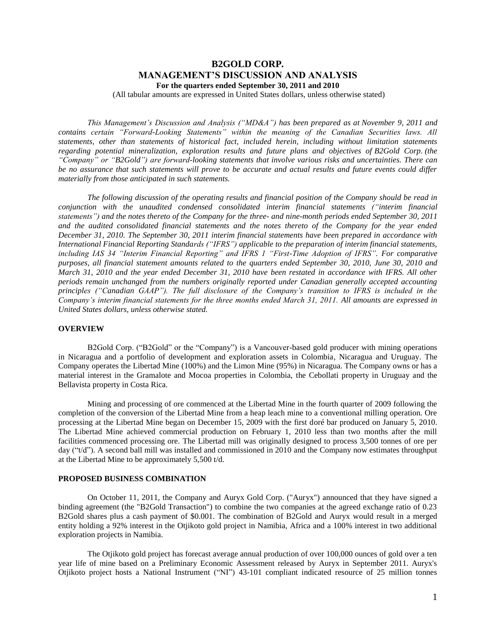# **B2GOLD CORP. MANAGEMENT'S DISCUSSION AND ANALYSIS For the quarters ended September 30, 2011 and 2010**

(All tabular amounts are expressed in United States dollars, unless otherwise stated)

*This Management's Discussion and Analysis ("MD&A") has been prepared as at November 9, 2011 and contains certain "Forward-Looking Statements" within the meaning of the Canadian Securities laws. All statements, other than statements of historical fact, included herein, including without limitation statements regarding potential mineralization, exploration results and future plans and objectives of B2Gold Corp. (the "Company" or "B2Gold") are forward-looking statements that involve various risks and uncertainties. There can be no assurance that such statements will prove to be accurate and actual results and future events could differ materially from those anticipated in such statements.*

*The following discussion of the operating results and financial position of the Company should be read in conjunction with the unaudited condensed consolidated interim financial statements ("interim financial statements") and the notes thereto of the Company for the three- and nine-month periods ended September 30, 2011 and the audited consolidated financial statements and the notes thereto of the Company for the year ended December 31, 2010. The September 30, 2011 interim financial statements have been prepared in accordance with International Financial Reporting Standards ("IFRS") applicable to the preparation of interim financial statements, including IAS 34 "Interim Financial Reporting" and IFRS 1 "First-Time Adoption of IFRS". For comparative purposes, all financial statement amounts related to the quarters ended September 30, 2010, June 30, 2010 and March 31, 2010 and the year ended December 31, 2010 have been restated in accordance with IFRS. All other periods remain unchanged from the numbers originally reported under Canadian generally accepted accounting principles ("Canadian GAAP"). The full disclosure of the Company's transition to IFRS is included in the Company's interim financial statements for the three months ended March 31, 2011. All amounts are expressed in United States dollars, unless otherwise stated.*

### **OVERVIEW**

B2Gold Corp. ("B2Gold" or the "Company") is a Vancouver-based gold producer with mining operations in Nicaragua and a portfolio of development and exploration assets in Colombia, Nicaragua and Uruguay. The Company operates the Libertad Mine (100%) and the Limon Mine (95%) in Nicaragua. The Company owns or has a material interest in the Gramalote and Mocoa properties in Colombia, the Cebollati property in Uruguay and the Bellavista property in Costa Rica.

Mining and processing of ore commenced at the Libertad Mine in the fourth quarter of 2009 following the completion of the conversion of the Libertad Mine from a heap leach mine to a conventional milling operation. Ore processing at the Libertad Mine began on December 15, 2009 with the first doré bar produced on January 5, 2010. The Libertad Mine achieved commercial production on February 1, 2010 less than two months after the mill facilities commenced processing ore. The Libertad mill was originally designed to process 3,500 tonnes of ore per day ("t/d"). A second ball mill was installed and commissioned in 2010 and the Company now estimates throughput at the Libertad Mine to be approximately 5,500 t/d.

### **PROPOSED BUSINESS COMBINATION**

On October 11, 2011, the Company and Auryx Gold Corp. ("Auryx") announced that they have signed a binding agreement (the "B2Gold Transaction") to combine the two companies at the agreed exchange ratio of 0.23 B2Gold shares plus a cash payment of \$0.001. The combination of B2Gold and Auryx would result in a merged entity holding a 92% interest in the Otjikoto gold project in Namibia, Africa and a 100% interest in two additional exploration projects in Namibia.

The Otjikoto gold project has forecast average annual production of over 100,000 ounces of gold over a ten year life of mine based on a Preliminary Economic Assessment released by Auryx in September 2011. Auryx's Otjikoto project hosts a National Instrument ("NI") 43-101 compliant indicated resource of 25 million tonnes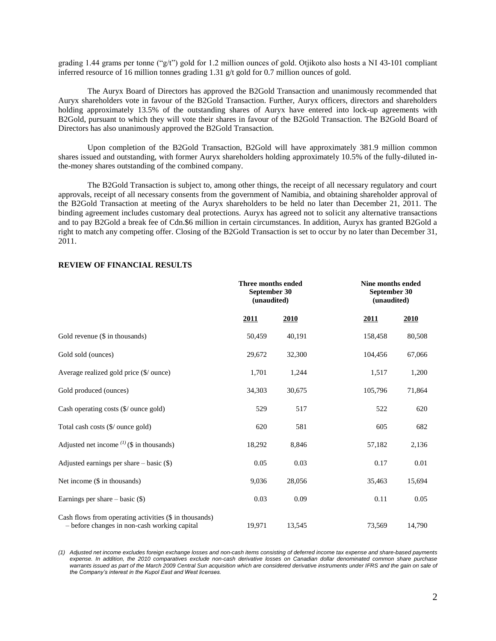grading 1.44 grams per tonne ("g/t") gold for 1.2 million ounces of gold. Otjikoto also hosts a NI 43-101 compliant inferred resource of 16 million tonnes grading 1.31  $g/t$  gold for 0.7 million ounces of gold.

The Auryx Board of Directors has approved the B2Gold Transaction and unanimously recommended that Auryx shareholders vote in favour of the B2Gold Transaction. Further, Auryx officers, directors and shareholders holding approximately 13.5% of the outstanding shares of Auryx have entered into lock-up agreements with B2Gold, pursuant to which they will vote their shares in favour of the B2Gold Transaction. The B2Gold Board of Directors has also unanimously approved the B2Gold Transaction.

Upon completion of the B2Gold Transaction, B2Gold will have approximately 381.9 million common shares issued and outstanding, with former Auryx shareholders holding approximately 10.5% of the fully-diluted inthe-money shares outstanding of the combined company.

The B2Gold Transaction is subject to, among other things, the receipt of all necessary regulatory and court approvals, receipt of all necessary consents from the government of Namibia, and obtaining shareholder approval of the B2Gold Transaction at meeting of the Auryx shareholders to be held no later than December 21, 2011. The binding agreement includes customary deal protections. Auryx has agreed not to solicit any alternative transactions and to pay B2Gold a break fee of Cdn.\$6 million in certain circumstances. In addition, Auryx has granted B2Gold a right to match any competing offer. Closing of the B2Gold Transaction is set to occur by no later than December 31, 2011.

|                                                                                                        | Three months ended<br>September 30<br>(unaudited) |        |             | Nine months ended<br>September 30<br>(unaudited) |  |  |
|--------------------------------------------------------------------------------------------------------|---------------------------------------------------|--------|-------------|--------------------------------------------------|--|--|
|                                                                                                        | 2011                                              | 2010   | <u>2011</u> | 2010                                             |  |  |
| Gold revenue (\$ in thousands)                                                                         | 50,459                                            | 40,191 | 158,458     | 80,508                                           |  |  |
| Gold sold (ounces)                                                                                     | 29,672                                            | 32,300 | 104,456     | 67,066                                           |  |  |
| Average realized gold price (\$/ ounce)                                                                | 1,701                                             | 1,244  | 1,517       | 1,200                                            |  |  |
| Gold produced (ounces)                                                                                 | 34,303                                            | 30,675 | 105,796     | 71,864                                           |  |  |
| Cash operating costs (\$/ ounce gold)                                                                  | 529                                               | 517    | 522         | 620                                              |  |  |
| Total cash costs (\$/ ounce gold)                                                                      | 620                                               | 581    | 605         | 682                                              |  |  |
| Adjusted net income $^{(1)}$ (\$ in thousands)                                                         | 18,292                                            | 8,846  | 57,182      | 2,136                                            |  |  |
| Adjusted earnings per share $-$ basic $(\$)$                                                           | 0.05                                              | 0.03   | 0.17        | 0.01                                             |  |  |
| Net income (\$ in thousands)                                                                           | 9,036                                             | 28,056 | 35,463      | 15,694                                           |  |  |
| Earnings per share $-$ basic $(\$)$                                                                    | 0.03                                              | 0.09   | 0.11        | 0.05                                             |  |  |
| Cash flows from operating activities (\$ in thousands)<br>- before changes in non-cash working capital | 19,971                                            | 13,545 | 73,569      | 14,790                                           |  |  |

### **REVIEW OF FINANCIAL RESULTS**

*(1) Adjusted net income excludes foreign exchange losses and non-cash items consisting of deferred income tax expense and share-based payments expense. In addition, the 2010 comparatives exclude non-cash derivative losses on Canadian dollar denominated common share purchase warrants issued as part of the March 2009 Central Sun acquisition which are considered derivative instruments under IFRS and the gain on sale of the Company's interest in the Kupol East and West licenses.*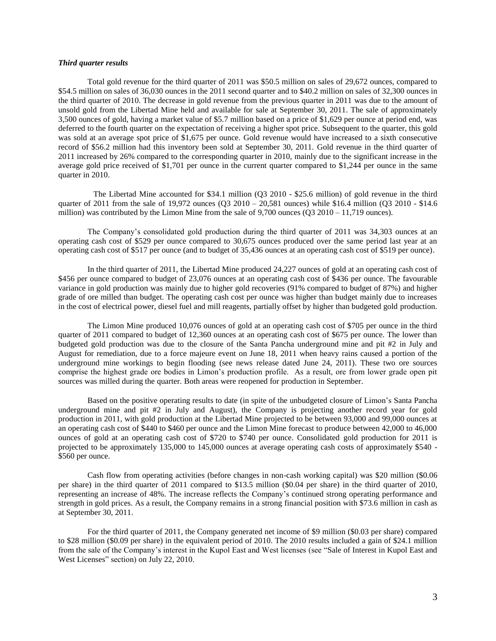### *Third quarter results*

Total gold revenue for the third quarter of 2011 was \$50.5 million on sales of 29,672 ounces, compared to \$54.5 million on sales of 36,030 ounces in the 2011 second quarter and to \$40.2 million on sales of 32,300 ounces in the third quarter of 2010. The decrease in gold revenue from the previous quarter in 2011 was due to the amount of unsold gold from the Libertad Mine held and available for sale at September 30, 2011. The sale of approximately 3,500 ounces of gold, having a market value of \$5.7 million based on a price of \$1,629 per ounce at period end, was deferred to the fourth quarter on the expectation of receiving a higher spot price. Subsequent to the quarter, this gold was sold at an average spot price of \$1,675 per ounce. Gold revenue would have increased to a sixth consecutive record of \$56.2 million had this inventory been sold at September 30, 2011. Gold revenue in the third quarter of 2011 increased by 26% compared to the corresponding quarter in 2010, mainly due to the significant increase in the average gold price received of \$1,701 per ounce in the current quarter compared to \$1,244 per ounce in the same quarter in 2010.

 The Libertad Mine accounted for \$34.1 million (Q3 2010 - \$25.6 million) of gold revenue in the third quarter of 2011 from the sale of 19,972 ounces (Q3 2010 – 20,581 ounces) while \$16.4 million (Q3 2010 - \$14.6 million) was contributed by the Limon Mine from the sale of  $9,700$  ounces (Q3 2010 – 11,719 ounces).

The Company's consolidated gold production during the third quarter of 2011 was 34,303 ounces at an operating cash cost of \$529 per ounce compared to 30,675 ounces produced over the same period last year at an operating cash cost of \$517 per ounce (and to budget of 35,436 ounces at an operating cash cost of \$519 per ounce).

In the third quarter of 2011, the Libertad Mine produced 24,227 ounces of gold at an operating cash cost of \$456 per ounce compared to budget of 23,076 ounces at an operating cash cost of \$436 per ounce. The favourable variance in gold production was mainly due to higher gold recoveries (91% compared to budget of 87%) and higher grade of ore milled than budget. The operating cash cost per ounce was higher than budget mainly due to increases in the cost of electrical power, diesel fuel and mill reagents, partially offset by higher than budgeted gold production.

The Limon Mine produced 10,076 ounces of gold at an operating cash cost of \$705 per ounce in the third quarter of 2011 compared to budget of 12,360 ounces at an operating cash cost of \$675 per ounce. The lower than budgeted gold production was due to the closure of the Santa Pancha underground mine and pit #2 in July and August for remediation, due to a force majeure event on June 18, 2011 when heavy rains caused a portion of the underground mine workings to begin flooding (see news release dated June 24, 2011). These two ore sources comprise the highest grade ore bodies in Limon's production profile. As a result, ore from lower grade open pit sources was milled during the quarter. Both areas were reopened for production in September.

Based on the positive operating results to date (in spite of the unbudgeted closure of Limon's Santa Pancha underground mine and pit #2 in July and August), the Company is projecting another record year for gold production in 2011, with gold production at the Libertad Mine projected to be between 93,000 and 99,000 ounces at an operating cash cost of \$440 to \$460 per ounce and the Limon Mine forecast to produce between 42,000 to 46,000 ounces of gold at an operating cash cost of \$720 to \$740 per ounce. Consolidated gold production for 2011 is projected to be approximately 135,000 to 145,000 ounces at average operating cash costs of approximately \$540 - \$560 per ounce.

Cash flow from operating activities (before changes in non-cash working capital) was \$20 million (\$0.06 per share) in the third quarter of 2011 compared to \$13.5 million (\$0.04 per share) in the third quarter of 2010, representing an increase of 48%. The increase reflects the Company's continued strong operating performance and strength in gold prices. As a result, the Company remains in a strong financial position with \$73.6 million in cash as at September 30, 2011.

For the third quarter of 2011, the Company generated net income of \$9 million (\$0.03 per share) compared to \$28 million (\$0.09 per share) in the equivalent period of 2010. The 2010 results included a gain of \$24.1 million from the sale of the Company's interest in the Kupol East and West licenses (see "Sale of Interest in Kupol East and West Licenses" section) on July 22, 2010.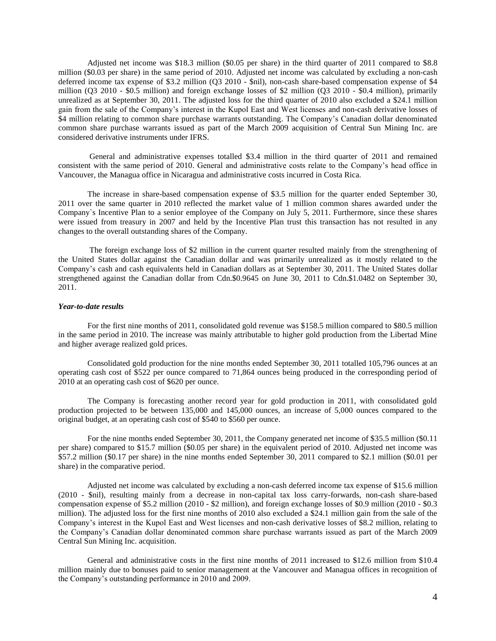Adjusted net income was \$18.3 million (\$0.05 per share) in the third quarter of 2011 compared to \$8.8 million (\$0.03 per share) in the same period of 2010. Adjusted net income was calculated by excluding a non-cash deferred income tax expense of \$3.2 million (Q3 2010 - \$nil), non-cash share-based compensation expense of \$4 million (Q3 2010 - \$0.5 million) and foreign exchange losses of \$2 million (Q3 2010 - \$0.4 million), primarily unrealized as at September 30, 2011. The adjusted loss for the third quarter of 2010 also excluded a \$24.1 million gain from the sale of the Company's interest in the Kupol East and West licenses and non-cash derivative losses of \$4 million relating to common share purchase warrants outstanding. The Company's Canadian dollar denominated common share purchase warrants issued as part of the March 2009 acquisition of Central Sun Mining Inc. are considered derivative instruments under IFRS.

General and administrative expenses totalled \$3.4 million in the third quarter of 2011 and remained consistent with the same period of 2010. General and administrative costs relate to the Company's head office in Vancouver, the Managua office in Nicaragua and administrative costs incurred in Costa Rica.

The increase in share-based compensation expense of \$3.5 million for the quarter ended September 30, 2011 over the same quarter in 2010 reflected the market value of 1 million common shares awarded under the Company`s Incentive Plan to a senior employee of the Company on July 5, 2011. Furthermore, since these shares were issued from treasury in 2007 and held by the Incentive Plan trust this transaction has not resulted in any changes to the overall outstanding shares of the Company.

The foreign exchange loss of \$2 million in the current quarter resulted mainly from the strengthening of the United States dollar against the Canadian dollar and was primarily unrealized as it mostly related to the Company's cash and cash equivalents held in Canadian dollars as at September 30, 2011. The United States dollar strengthened against the Canadian dollar from Cdn.\$0.9645 on June 30, 2011 to Cdn.\$1.0482 on September 30, 2011.

### *Year-to-date results*

For the first nine months of 2011, consolidated gold revenue was \$158.5 million compared to \$80.5 million in the same period in 2010. The increase was mainly attributable to higher gold production from the Libertad Mine and higher average realized gold prices.

Consolidated gold production for the nine months ended September 30, 2011 totalled 105,796 ounces at an operating cash cost of \$522 per ounce compared to 71,864 ounces being produced in the corresponding period of 2010 at an operating cash cost of \$620 per ounce.

The Company is forecasting another record year for gold production in 2011, with consolidated gold production projected to be between 135,000 and 145,000 ounces, an increase of 5,000 ounces compared to the original budget, at an operating cash cost of \$540 to \$560 per ounce.

For the nine months ended September 30, 2011, the Company generated net income of \$35.5 million (\$0.11 per share) compared to \$15.7 million (\$0.05 per share) in the equivalent period of 2010. Adjusted net income was \$57.2 million (\$0.17 per share) in the nine months ended September 30, 2011 compared to \$2.1 million (\$0.01 per share) in the comparative period.

Adjusted net income was calculated by excluding a non-cash deferred income tax expense of \$15.6 million (2010 - \$nil), resulting mainly from a decrease in non-capital tax loss carry-forwards, non-cash share-based compensation expense of \$5.2 million (2010 - \$2 million), and foreign exchange losses of \$0.9 million (2010 - \$0.3 million). The adjusted loss for the first nine months of 2010 also excluded a \$24.1 million gain from the sale of the Company's interest in the Kupol East and West licenses and non-cash derivative losses of \$8.2 million, relating to the Company's Canadian dollar denominated common share purchase warrants issued as part of the March 2009 Central Sun Mining Inc. acquisition.

General and administrative costs in the first nine months of 2011 increased to \$12.6 million from \$10.4 million mainly due to bonuses paid to senior management at the Vancouver and Managua offices in recognition of the Company's outstanding performance in 2010 and 2009.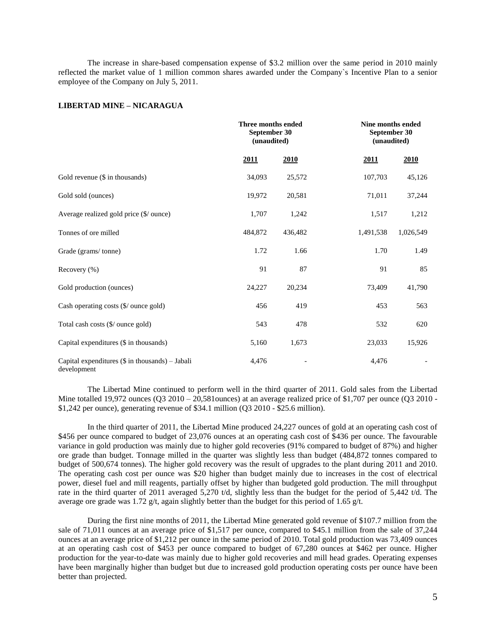The increase in share-based compensation expense of \$3.2 million over the same period in 2010 mainly reflected the market value of 1 million common shares awarded under the Company`s Incentive Plan to a senior employee of the Company on July 5, 2011.

## **LIBERTAD MINE – NICARAGUA**

|                                                                |         | Three months ended<br>September 30<br>(unaudited) |           | <b>Nine months ended</b><br>September 30<br>(unaudited) |  |  |
|----------------------------------------------------------------|---------|---------------------------------------------------|-----------|---------------------------------------------------------|--|--|
|                                                                | 2011    | 2010                                              | 2011      | 2010                                                    |  |  |
| Gold revenue (\$ in thousands)                                 | 34,093  | 25,572                                            | 107,703   | 45,126                                                  |  |  |
| Gold sold (ounces)                                             | 19,972  | 20,581                                            | 71,011    | 37,244                                                  |  |  |
| Average realized gold price (\$/ ounce)                        | 1,707   | 1,242                                             | 1,517     | 1,212                                                   |  |  |
| Tonnes of ore milled                                           | 484,872 | 436,482                                           | 1,491,538 | 1,026,549                                               |  |  |
| Grade (grams/tonne)                                            | 1.72    | 1.66                                              | 1.70      | 1.49                                                    |  |  |
| Recovery (%)                                                   | 91      | 87                                                | 91        | 85                                                      |  |  |
| Gold production (ounces)                                       | 24,227  | 20,234                                            | 73,409    | 41,790                                                  |  |  |
| Cash operating costs (\$/ ounce gold)                          | 456     | 419                                               | 453       | 563                                                     |  |  |
| Total cash costs (\$/ ounce gold)                              | 543     | 478                                               | 532       | 620                                                     |  |  |
| Capital expenditures (\$ in thousands)                         | 5,160   | 1,673                                             | 23,033    | 15,926                                                  |  |  |
| Capital expenditures (\$ in thousands) - Jabali<br>development | 4,476   |                                                   | 4,476     |                                                         |  |  |

The Libertad Mine continued to perform well in the third quarter of 2011. Gold sales from the Libertad Mine totalled 19,972 ounces  $(Q3\ 2010 - 20,581$ ounces) at an average realized price of \$1,707 per ounce  $(Q3\ 2010 - Q3,581)$ \$1,242 per ounce), generating revenue of \$34.1 million (Q3 2010 - \$25.6 million).

In the third quarter of 2011, the Libertad Mine produced 24,227 ounces of gold at an operating cash cost of \$456 per ounce compared to budget of 23,076 ounces at an operating cash cost of \$436 per ounce. The favourable variance in gold production was mainly due to higher gold recoveries (91% compared to budget of 87%) and higher ore grade than budget. Tonnage milled in the quarter was slightly less than budget (484,872 tonnes compared to budget of 500,674 tonnes). The higher gold recovery was the result of upgrades to the plant during 2011 and 2010. The operating cash cost per ounce was \$20 higher than budget mainly due to increases in the cost of electrical power, diesel fuel and mill reagents, partially offset by higher than budgeted gold production. The mill throughput rate in the third quarter of 2011 averaged 5,270 t/d, slightly less than the budget for the period of 5,442 t/d. The average ore grade was 1.72 g/t, again slightly better than the budget for this period of 1.65 g/t.

During the first nine months of 2011, the Libertad Mine generated gold revenue of \$107.7 million from the sale of 71,011 ounces at an average price of \$1,517 per ounce, compared to \$45.1 million from the sale of 37,244 ounces at an average price of \$1,212 per ounce in the same period of 2010. Total gold production was 73,409 ounces at an operating cash cost of \$453 per ounce compared to budget of 67,280 ounces at \$462 per ounce. Higher production for the year-to-date was mainly due to higher gold recoveries and mill head grades. Operating expenses have been marginally higher than budget but due to increased gold production operating costs per ounce have been better than projected.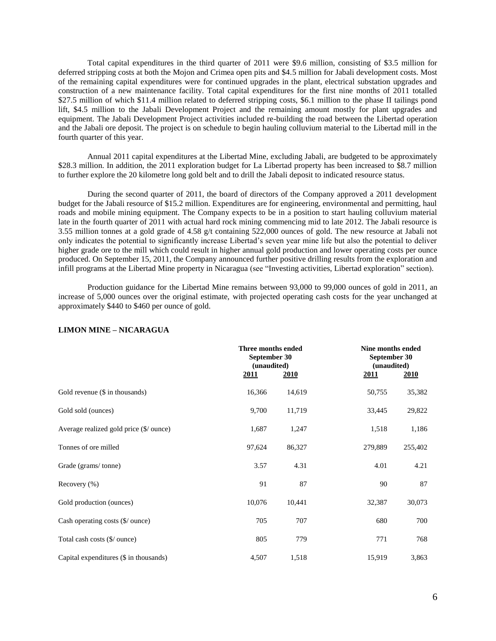Total capital expenditures in the third quarter of 2011 were \$9.6 million, consisting of \$3.5 million for deferred stripping costs at both the Mojon and Crimea open pits and \$4.5 million for Jabali development costs. Most of the remaining capital expenditures were for continued upgrades in the plant, electrical substation upgrades and construction of a new maintenance facility. Total capital expenditures for the first nine months of 2011 totalled \$27.5 million of which \$11.4 million related to deferred stripping costs, \$6.1 million to the phase II tailings pond lift, \$4.5 million to the Jabali Development Project and the remaining amount mostly for plant upgrades and equipment. The Jabali Development Project activities included re-building the road between the Libertad operation and the Jabali ore deposit. The project is on schedule to begin hauling colluvium material to the Libertad mill in the fourth quarter of this year.

Annual 2011 capital expenditures at the Libertad Mine, excluding Jabali, are budgeted to be approximately \$28.3 million. In addition, the 2011 exploration budget for La Libertad property has been increased to \$8.7 million to further explore the 20 kilometre long gold belt and to drill the Jabali deposit to indicated resource status.

During the second quarter of 2011, the board of directors of the Company approved a 2011 development budget for the Jabali resource of \$15.2 million. Expenditures are for engineering, environmental and permitting, haul roads and mobile mining equipment. The Company expects to be in a position to start hauling colluvium material late in the fourth quarter of 2011 with actual hard rock mining commencing mid to late 2012. The Jabali resource is 3.55 million tonnes at a gold grade of 4.58 g/t containing 522,000 ounces of gold. The new resource at Jabali not only indicates the potential to significantly increase Libertad's seven year mine life but also the potential to deliver higher grade ore to the mill which could result in higher annual gold production and lower operating costs per ounce produced. On September 15, 2011, the Company announced further positive drilling results from the exploration and infill programs at the Libertad Mine property in Nicaragua (see "Investing activities, Libertad exploration" section).

Production guidance for the Libertad Mine remains between 93,000 to 99,000 ounces of gold in 2011, an increase of 5,000 ounces over the original estimate, with projected operating cash costs for the year unchanged at approximately \$440 to \$460 per ounce of gold.

|                                         | <u>2011</u> | Three months ended<br>September 30<br>(unaudited)<br><u>2010</u> | <u> 2011</u> | Nine months ended<br>September 30<br>(unaudited)<br><u>2010</u> |  |  |
|-----------------------------------------|-------------|------------------------------------------------------------------|--------------|-----------------------------------------------------------------|--|--|
| Gold revenue $(\$$ in thousands)        | 16,366      | 14,619                                                           | 50,755       | 35,382                                                          |  |  |
| Gold sold (ounces)                      | 9,700       | 11,719                                                           | 33,445       | 29,822                                                          |  |  |
| Average realized gold price (\$/ ounce) | 1,687       | 1,247                                                            | 1,518        | 1,186                                                           |  |  |
| Tonnes of ore milled                    | 97,624      | 86,327                                                           | 279,889      | 255,402                                                         |  |  |
| Grade (grams/tonne)                     | 3.57        | 4.31                                                             | 4.01         | 4.21                                                            |  |  |
| Recovery $(\% )$                        | 91          | 87                                                               | 90           | 87                                                              |  |  |
| Gold production (ounces)                | 10,076      | 10,441                                                           | 32,387       | 30,073                                                          |  |  |
| Cash operating costs (\$/ ounce)        | 705         | 707                                                              | 680          | 700                                                             |  |  |
| Total cash costs (\$/ ounce)            | 805         | 779                                                              | 771          | 768                                                             |  |  |
| Capital expenditures (\$ in thousands)  | 4,507       | 1,518                                                            | 15,919       | 3,863                                                           |  |  |

## **LIMON MINE – NICARAGUA**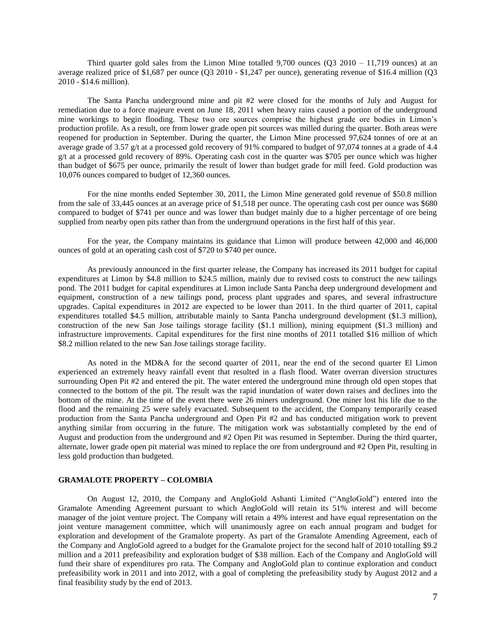Third quarter gold sales from the Limon Mine totalled 9,700 ounces (Q3 2010 – 11,719 ounces) at an average realized price of \$1,687 per ounce (Q3 2010 - \$1,247 per ounce), generating revenue of \$16.4 million (Q3 2010 - \$14.6 million).

The Santa Pancha underground mine and pit #2 were closed for the months of July and August for remediation due to a force majeure event on June 18, 2011 when heavy rains caused a portion of the underground mine workings to begin flooding. These two ore sources comprise the highest grade ore bodies in Limon's production profile. As a result, ore from lower grade open pit sources was milled during the quarter. Both areas were reopened for production in September. During the quarter, the Limon Mine processed 97,624 tonnes of ore at an average grade of 3.57 g/t at a processed gold recovery of 91% compared to budget of 97,074 tonnes at a grade of 4.4 g/t at a processed gold recovery of 89%. Operating cash cost in the quarter was \$705 per ounce which was higher than budget of \$675 per ounce, primarily the result of lower than budget grade for mill feed. Gold production was 10,076 ounces compared to budget of 12,360 ounces.

For the nine months ended September 30, 2011, the Limon Mine generated gold revenue of \$50.8 million from the sale of 33,445 ounces at an average price of \$1,518 per ounce. The operating cash cost per ounce was \$680 compared to budget of \$741 per ounce and was lower than budget mainly due to a higher percentage of ore being supplied from nearby open pits rather than from the underground operations in the first half of this year.

For the year, the Company maintains its guidance that Limon will produce between 42,000 and 46,000 ounces of gold at an operating cash cost of \$720 to \$740 per ounce.

As previously announced in the first quarter release, the Company has increased its 2011 budget for capital expenditures at Limon by \$4.8 million to \$24.5 million, mainly due to revised costs to construct the new tailings pond. The 2011 budget for capital expenditures at Limon include Santa Pancha deep underground development and equipment, construction of a new tailings pond, process plant upgrades and spares, and several infrastructure upgrades. Capital expenditures in 2012 are expected to be lower than 2011. In the third quarter of 2011, capital expenditures totalled \$4.5 million, attributable mainly to Santa Pancha underground development (\$1.3 million), construction of the new San Jose tailings storage facility (\$1.1 million), mining equipment (\$1.3 million) and infrastructure improvements. Capital expenditures for the first nine months of 2011 totalled \$16 million of which \$8.2 million related to the new San Jose tailings storage facility.

As noted in the MD&A for the second quarter of 2011, near the end of the second quarter El Limon experienced an extremely heavy rainfall event that resulted in a flash flood. Water overran diversion structures surrounding Open Pit #2 and entered the pit. The water entered the underground mine through old open stopes that connected to the bottom of the pit. The result was the rapid inundation of water down raises and declines into the bottom of the mine. At the time of the event there were 26 miners underground. One miner lost his life due to the flood and the remaining 25 were safely evacuated. Subsequent to the accident, the Company temporarily ceased production from the Santa Pancha underground and Open Pit #2 and has conducted mitigation work to prevent anything similar from occurring in the future. The mitigation work was substantially completed by the end of August and production from the underground and #2 Open Pit was resumed in September. During the third quarter, alternate, lower grade open pit material was mined to replace the ore from underground and #2 Open Pit, resulting in less gold production than budgeted.

## **GRAMALOTE PROPERTY – COLOMBIA**

On August 12, 2010, the Company and AngloGold Ashanti Limited ("AngloGold") entered into the Gramalote Amending Agreement pursuant to which AngloGold will retain its 51% interest and will become manager of the joint venture project. The Company will retain a 49% interest and have equal representation on the joint venture management committee, which will unanimously agree on each annual program and budget for exploration and development of the Gramalote property. As part of the Gramalote Amending Agreement, each of the Company and AngloGold agreed to a budget for the Gramalote project for the second half of 2010 totalling \$9.2 million and a 2011 prefeasibility and exploration budget of \$38 million. Each of the Company and AngloGold will fund their share of expenditures pro rata. The Company and AngloGold plan to continue exploration and conduct prefeasibility work in 2011 and into 2012, with a goal of completing the prefeasibility study by August 2012 and a final feasibility study by the end of 2013.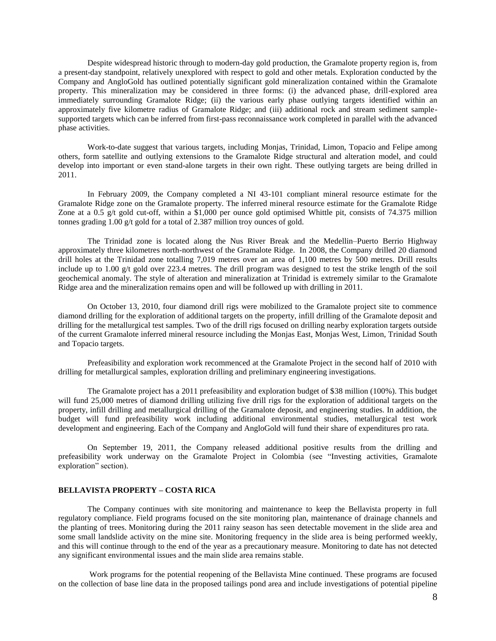Despite widespread historic through to modern-day gold production, the Gramalote property region is, from a present-day standpoint, relatively unexplored with respect to gold and other metals. Exploration conducted by the Company and AngloGold has outlined potentially significant gold mineralization contained within the Gramalote property. This mineralization may be considered in three forms: (i) the advanced phase, drill-explored area immediately surrounding Gramalote Ridge; (ii) the various early phase outlying targets identified within an approximately five kilometre radius of Gramalote Ridge; and (iii) additional rock and stream sediment samplesupported targets which can be inferred from first-pass reconnaissance work completed in parallel with the advanced phase activities.

Work-to-date suggest that various targets, including Monjas, Trinidad, Limon, Topacio and Felipe among others, form satellite and outlying extensions to the Gramalote Ridge structural and alteration model, and could develop into important or even stand-alone targets in their own right. These outlying targets are being drilled in 2011.

In February 2009, the Company completed a NI 43-101 compliant mineral resource estimate for the Gramalote Ridge zone on the Gramalote property. The inferred mineral resource estimate for the Gramalote Ridge Zone at a 0.5  $g/t$  gold cut-off, within a \$1,000 per ounce gold optimised Whittle pit, consists of 74.375 million tonnes grading 1.00 g/t gold for a total of 2.387 million troy ounces of gold.

The Trinidad zone is located along the Nus River Break and the Medellin–Puerto Berrio Highway approximately three kilometres north-northwest of the Gramalote Ridge. In 2008, the Company drilled 20 diamond drill holes at the Trinidad zone totalling 7,019 metres over an area of 1,100 metres by 500 metres. Drill results include up to 1.00 g/t gold over 223.4 metres. The drill program was designed to test the strike length of the soil geochemical anomaly. The style of alteration and mineralization at Trinidad is extremely similar to the Gramalote Ridge area and the mineralization remains open and will be followed up with drilling in 2011.

On October 13, 2010, four diamond drill rigs were mobilized to the Gramalote project site to commence diamond drilling for the exploration of additional targets on the property, infill drilling of the Gramalote deposit and drilling for the metallurgical test samples. Two of the drill rigs focused on drilling nearby exploration targets outside of the current Gramalote inferred mineral resource including the Monjas East, Monjas West, Limon, Trinidad South and Topacio targets.

Prefeasibility and exploration work recommenced at the Gramalote Project in the second half of 2010 with drilling for metallurgical samples, exploration drilling and preliminary engineering investigations.

The Gramalote project has a 2011 prefeasibility and exploration budget of \$38 million (100%). This budget will fund 25,000 metres of diamond drilling utilizing five drill rigs for the exploration of additional targets on the property, infill drilling and metallurgical drilling of the Gramalote deposit, and engineering studies. In addition, the budget will fund prefeasibility work including additional environmental studies, metallurgical test work development and engineering. Each of the Company and AngloGold will fund their share of expenditures pro rata.

On September 19, 2011, the Company released additional positive results from the drilling and prefeasibility work underway on the Gramalote Project in Colombia (see "Investing activities, Gramalote exploration" section).

## **BELLAVISTA PROPERTY – COSTA RICA**

The Company continues with site monitoring and maintenance to keep the Bellavista property in full regulatory compliance. Field programs focused on the site monitoring plan, maintenance of drainage channels and the planting of trees. Monitoring during the 2011 rainy season has seen detectable movement in the slide area and some small landslide activity on the mine site. Monitoring frequency in the slide area is being performed weekly, and this will continue through to the end of the year as a precautionary measure. Monitoring to date has not detected any significant environmental issues and the main slide area remains stable.

Work programs for the potential reopening of the Bellavista Mine continued. These programs are focused on the collection of base line data in the proposed tailings pond area and include investigations of potential pipeline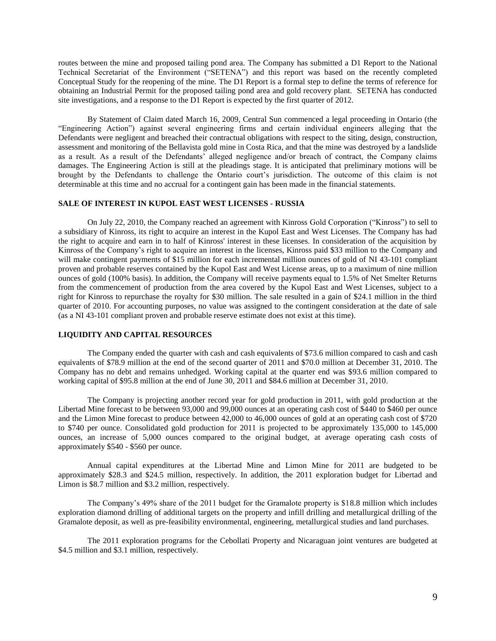routes between the mine and proposed tailing pond area. The Company has submitted a D1 Report to the National Technical Secretariat of the Environment ("SETENA") and this report was based on the recently completed Conceptual Study for the reopening of the mine. The D1 Report is a formal step to define the terms of reference for obtaining an Industrial Permit for the proposed tailing pond area and gold recovery plant. SETENA has conducted site investigations, and a response to the D1 Report is expected by the first quarter of 2012.

By Statement of Claim dated March 16, 2009, Central Sun commenced a legal proceeding in Ontario (the "Engineering Action") against several engineering firms and certain individual engineers alleging that the Defendants were negligent and breached their contractual obligations with respect to the siting, design, construction, assessment and monitoring of the Bellavista gold mine in Costa Rica, and that the mine was destroyed by a landslide as a result. As a result of the Defendants' alleged negligence and/or breach of contract, the Company claims damages. The Engineering Action is still at the pleadings stage. It is anticipated that preliminary motions will be brought by the Defendants to challenge the Ontario court's jurisdiction. The outcome of this claim is not determinable at this time and no accrual for a contingent gain has been made in the financial statements.

## **SALE OF INTEREST IN KUPOL EAST WEST LICENSES - RUSSIA**

On July 22, 2010, the Company reached an agreement with Kinross Gold Corporation ("Kinross") to sell to a subsidiary of Kinross, its right to acquire an interest in the Kupol East and West Licenses. The Company has had the right to acquire and earn in to half of Kinross' interest in these licenses. In consideration of the acquisition by Kinross of the Company's right to acquire an interest in the licenses, Kinross paid \$33 million to the Company and will make contingent payments of \$15 million for each incremental million ounces of gold of NI 43-101 compliant proven and probable reserves contained by the Kupol East and West License areas, up to a maximum of nine million ounces of gold (100% basis). In addition, the Company will receive payments equal to 1.5% of Net Smelter Returns from the commencement of production from the area covered by the Kupol East and West Licenses, subject to a right for Kinross to repurchase the royalty for \$30 million. The sale resulted in a gain of \$24.1 million in the third quarter of 2010. For accounting purposes, no value was assigned to the contingent consideration at the date of sale (as a NI 43-101 compliant proven and probable reserve estimate does not exist at this time).

## **LIQUIDITY AND CAPITAL RESOURCES**

The Company ended the quarter with cash and cash equivalents of \$73.6 million compared to cash and cash equivalents of \$78.9 million at the end of the second quarter of 2011 and \$70.0 million at December 31, 2010. The Company has no debt and remains unhedged. Working capital at the quarter end was \$93.6 million compared to working capital of \$95.8 million at the end of June 30, 2011 and \$84.6 million at December 31, 2010.

The Company is projecting another record year for gold production in 2011, with gold production at the Libertad Mine forecast to be between 93,000 and 99,000 ounces at an operating cash cost of \$440 to \$460 per ounce and the Limon Mine forecast to produce between 42,000 to 46,000 ounces of gold at an operating cash cost of \$720 to \$740 per ounce. Consolidated gold production for 2011 is projected to be approximately 135,000 to 145,000 ounces, an increase of 5,000 ounces compared to the original budget, at average operating cash costs of approximately \$540 - \$560 per ounce.

Annual capital expenditures at the Libertad Mine and Limon Mine for 2011 are budgeted to be approximately \$28.3 and \$24.5 million, respectively. In addition, the 2011 exploration budget for Libertad and Limon is \$8.7 million and \$3.2 million, respectively.

The Company's 49% share of the 2011 budget for the Gramalote property is \$18.8 million which includes exploration diamond drilling of additional targets on the property and infill drilling and metallurgical drilling of the Gramalote deposit, as well as pre-feasibility environmental, engineering, metallurgical studies and land purchases.

The 2011 exploration programs for the Cebollati Property and Nicaraguan joint ventures are budgeted at \$4.5 million and \$3.1 million, respectively.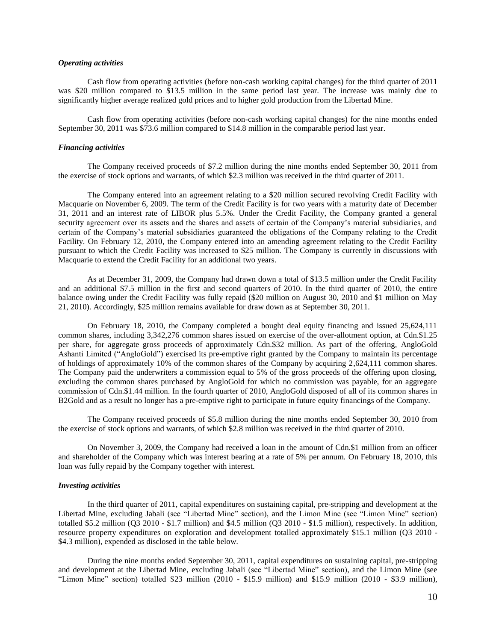## *Operating activities*

Cash flow from operating activities (before non-cash working capital changes) for the third quarter of 2011 was \$20 million compared to \$13.5 million in the same period last year. The increase was mainly due to significantly higher average realized gold prices and to higher gold production from the Libertad Mine.

Cash flow from operating activities (before non-cash working capital changes) for the nine months ended September 30, 2011 was \$73.6 million compared to \$14.8 million in the comparable period last year.

## *Financing activities*

The Company received proceeds of \$7.2 million during the nine months ended September 30, 2011 from the exercise of stock options and warrants, of which \$2.3 million was received in the third quarter of 2011.

The Company entered into an agreement relating to a \$20 million secured revolving Credit Facility with Macquarie on November 6, 2009. The term of the Credit Facility is for two years with a maturity date of December 31, 2011 and an interest rate of LIBOR plus 5.5%. Under the Credit Facility, the Company granted a general security agreement over its assets and the shares and assets of certain of the Company's material subsidiaries, and certain of the Company's material subsidiaries guaranteed the obligations of the Company relating to the Credit Facility. On February 12, 2010, the Company entered into an amending agreement relating to the Credit Facility pursuant to which the Credit Facility was increased to \$25 million. The Company is currently in discussions with Macquarie to extend the Credit Facility for an additional two years.

As at December 31, 2009, the Company had drawn down a total of \$13.5 million under the Credit Facility and an additional \$7.5 million in the first and second quarters of 2010. In the third quarter of 2010, the entire balance owing under the Credit Facility was fully repaid (\$20 million on August 30, 2010 and \$1 million on May 21, 2010). Accordingly, \$25 million remains available for draw down as at September 30, 2011.

On February 18, 2010, the Company completed a bought deal equity financing and issued 25,624,111 common shares, including 3,342,276 common shares issued on exercise of the over-allotment option, at Cdn.\$1.25 per share, for aggregate gross proceeds of approximately Cdn.\$32 million. As part of the offering, AngloGold Ashanti Limited ("AngloGold") exercised its pre-emptive right granted by the Company to maintain its percentage of holdings of approximately 10% of the common shares of the Company by acquiring 2,624,111 common shares. The Company paid the underwriters a commission equal to 5% of the gross proceeds of the offering upon closing, excluding the common shares purchased by AngloGold for which no commission was payable, for an aggregate commission of Cdn.\$1.44 million. In the fourth quarter of 2010, AngloGold disposed of all of its common shares in B2Gold and as a result no longer has a pre-emptive right to participate in future equity financings of the Company.

The Company received proceeds of \$5.8 million during the nine months ended September 30, 2010 from the exercise of stock options and warrants, of which \$2.8 million was received in the third quarter of 2010.

On November 3, 2009, the Company had received a loan in the amount of Cdn.\$1 million from an officer and shareholder of the Company which was interest bearing at a rate of 5% per annum. On February 18, 2010, this loan was fully repaid by the Company together with interest.

## *Investing activities*

In the third quarter of 2011, capital expenditures on sustaining capital, pre-stripping and development at the Libertad Mine, excluding Jabali (see "Libertad Mine" section), and the Limon Mine (see "Limon Mine" section) totalled \$5.2 million (Q3 2010 - \$1.7 million) and \$4.5 million (Q3 2010 - \$1.5 million), respectively. In addition, resource property expenditures on exploration and development totalled approximately \$15.1 million (Q3 2010 - \$4.3 million), expended as disclosed in the table below.

During the nine months ended September 30, 2011, capital expenditures on sustaining capital, pre-stripping and development at the Libertad Mine, excluding Jabali (see "Libertad Mine" section), and the Limon Mine (see "Limon Mine" section) totalled \$23 million (2010 - \$15.9 million) and \$15.9 million (2010 - \$3.9 million),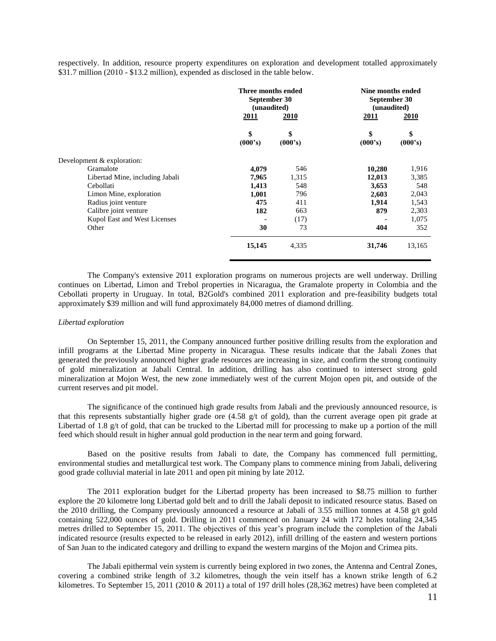respectively. In addition, resource property expenditures on exploration and development totalled approximately \$31.7 million (2010 - \$13.2 million), expended as disclosed in the table below.

|                                 | Three months ended<br>September 30<br>(unaudited)<br><u>2010</u><br>2011 |               | Nine months ended<br>September 30<br>(unaudited)<br>2010<br><u>2011</u> |               |
|---------------------------------|--------------------------------------------------------------------------|---------------|-------------------------------------------------------------------------|---------------|
|                                 | \$<br>(000's)                                                            | \$<br>(000's) | \$<br>(000's)                                                           | \$<br>(000's) |
| Development & exploration:      |                                                                          |               |                                                                         |               |
| Gramalote                       | 4,079                                                                    | 546           | 10,280                                                                  | 1,916         |
| Libertad Mine, including Jabali | 7,965                                                                    | 1,315         | 12,013                                                                  | 3,385         |
| Cebollati                       | 1,413                                                                    | 548           | 3,653                                                                   | 548           |
| Limon Mine, exploration         | 1,001                                                                    | 796           | 2,603                                                                   | 2,043         |
| Radius joint venture            | 475                                                                      | 411           | 1,914                                                                   | 1,543         |
| Calibre joint venture           | 182                                                                      | 663           | 879                                                                     | 2,303         |
| Kupol East and West Licenses    |                                                                          | (17)          |                                                                         | 1,075         |
| Other                           | 30                                                                       | 73            | 404                                                                     | 352           |
|                                 | 15,145                                                                   | 4,335         | 31,746                                                                  | 13,165        |

The Company's extensive 2011 exploration programs on numerous projects are well underway. Drilling continues on Libertad, Limon and Trebol properties in Nicaragua, the Gramalote property in Colombia and the Cebollati property in Uruguay. In total, B2Gold's combined 2011 exploration and pre-feasibility budgets total approximately \$39 million and will fund approximately 84,000 metres of diamond drilling.

### *Libertad exploration*

On September 15, 2011, the Company announced further positive drilling results from the exploration and infill programs at the Libertad Mine property in Nicaragua. These results indicate that the Jabali Zones that generated the previously announced higher grade resources are increasing in size, and confirm the strong continuity of gold mineralization at Jabali Central. In addition, drilling has also continued to intersect strong gold mineralization at Mojon West, the new zone immediately west of the current Mojon open pit, and outside of the current reserves and pit model.

The significance of the continued high grade results from Jabali and the previously announced resource, is that this represents substantially higher grade ore (4.58 g/t of gold), than the current average open pit grade at Libertad of 1.8 g/t of gold, that can be trucked to the Libertad mill for processing to make up a portion of the mill feed which should result in higher annual gold production in the near term and going forward.

Based on the positive results from Jabali to date, the Company has commenced full permitting, environmental studies and metallurgical test work. The Company plans to commence mining from Jabali, delivering good grade colluvial material in late 2011 and open pit mining by late 2012.

The 2011 exploration budget for the Libertad property has been increased to \$8.75 million to further explore the 20 kilometre long Libertad gold belt and to drill the Jabali deposit to indicated resource status. Based on the 2010 drilling, the Company previously announced a resource at Jabali of 3.55 million tonnes at 4.58 g/t gold containing 522,000 ounces of gold. Drilling in 2011 commenced on January 24 with 172 holes totaling 24,345 metres drilled to September 15, 2011. The objectives of this year's program include the completion of the Jabali indicated resource (results expected to be released in early 2012), infill drilling of the eastern and western portions of San Juan to the indicated category and drilling to expand the western margins of the Mojon and Crimea pits.

The Jabali epithermal vein system is currently being explored in two zones, the Antenna and Central Zones, covering a combined strike length of 3.2 kilometres, though the vein itself has a known strike length of 6.2 kilometres. To September 15, 2011 (2010 & 2011) a total of 197 drill holes (28,362 metres) have been completed at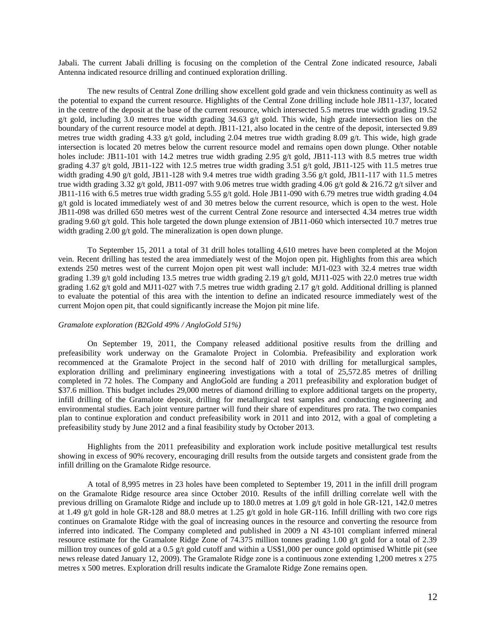Jabali. The current Jabali drilling is focusing on the completion of the Central Zone indicated resource, Jabali Antenna indicated resource drilling and continued exploration drilling.

The new results of Central Zone drilling show excellent gold grade and vein thickness continuity as well as the potential to expand the current resource. Highlights of the Central Zone drilling include hole JB11-137, located in the centre of the deposit at the base of the current resource, which intersected 5.5 metres true width grading 19.52 g/t gold, including 3.0 metres true width grading  $34.63$  g/t gold. This wide, high grade intersection lies on the boundary of the current resource model at depth. JB11-121, also located in the centre of the deposit, intersected 9.89 metres true width grading 4.33 g/t gold, including 2.04 metres true width grading 8.09 g/t. This wide, high grade intersection is located 20 metres below the current resource model and remains open down plunge. Other notable holes include: JB11-101 with 14.2 metres true width grading 2.95 g/t gold, JB11-113 with 8.5 metres true width grading 4.37 g/t gold, JB11-122 with 12.5 metres true width grading 3.51 g/t gold, JB11-125 with 11.5 metres true width grading 4.90 g/t gold, JB11-128 with 9.4 metres true width grading 3.56 g/t gold, JB11-117 with 11.5 metres true width grading 3.32 g/t gold, JB11-097 with 9.06 metres true width grading 4.06 g/t gold  $& 216.72$  g/t silver and JB11-116 with 6.5 metres true width grading 5.55 g/t gold. Hole JB11-090 with 6.79 metres true width grading 4.04 g/t gold is located immediately west of and 30 metres below the current resource, which is open to the west. Hole JB11-098 was drilled 650 metres west of the current Central Zone resource and intersected 4.34 metres true width grading 9.60 g/t gold. This hole targeted the down plunge extension of JB11-060 which intersected 10.7 metres true width grading 2.00 g/t gold. The mineralization is open down plunge.

To September 15, 2011 a total of 31 drill holes totalling 4,610 metres have been completed at the Mojon vein. Recent drilling has tested the area immediately west of the Mojon open pit. Highlights from this area which extends 250 metres west of the current Mojon open pit west wall include: MJ1-023 with 32.4 metres true width grading 1.39 g/t gold including 13.5 metres true width grading 2.19 g/t gold, MJ11-025 with 22.0 metres true width grading 1.62 g/t gold and MJ11-027 with 7.5 metres true width grading 2.17 g/t gold. Additional drilling is planned to evaluate the potential of this area with the intention to define an indicated resource immediately west of the current Mojon open pit, that could significantly increase the Mojon pit mine life.

## *Gramalote exploration (B2Gold 49% / AngloGold 51%)*

On September 19, 2011, the Company released additional positive results from the drilling and prefeasibility work underway on the Gramalote Project in Colombia. Prefeasibility and exploration work recommenced at the Gramalote Project in the second half of 2010 with drilling for metallurgical samples, exploration drilling and preliminary engineering investigations with a total of 25,572.85 metres of drilling completed in 72 holes. The Company and AngloGold are funding a 2011 prefeasibility and exploration budget of \$37.6 million. This budget includes 29,000 metres of diamond drilling to explore additional targets on the property, infill drilling of the Gramalote deposit, drilling for metallurgical test samples and conducting engineering and environmental studies. Each joint venture partner will fund their share of expenditures pro rata. The two companies plan to continue exploration and conduct prefeasibility work in 2011 and into 2012, with a goal of completing a prefeasibility study by June 2012 and a final feasibility study by October 2013.

Highlights from the 2011 prefeasibility and exploration work include positive metallurgical test results showing in excess of 90% recovery, encouraging drill results from the outside targets and consistent grade from the infill drilling on the Gramalote Ridge resource.

A total of 8,995 metres in 23 holes have been completed to September 19, 2011 in the infill drill program on the Gramalote Ridge resource area since October 2010. Results of the infill drilling correlate well with the previous drilling on Gramalote Ridge and include up to 180.0 metres at 1.09 g/t gold in hole GR-121, 142.0 metres at 1.49 g/t gold in hole GR-128 and 88.0 metres at 1.25 g/t gold in hole GR-116. Infill drilling with two core rigs continues on Gramalote Ridge with the goal of increasing ounces in the resource and converting the resource from inferred into indicated. The Company completed and published in 2009 a NI 43-101 compliant inferred mineral resource estimate for the Gramalote Ridge Zone of 74.375 million tonnes grading 1.00 g/t gold for a total of 2.39 million troy ounces of gold at a 0.5 g/t gold cutoff and within a US\$1,000 per ounce gold optimised Whittle pit (see news release dated January 12, 2009). The Gramalote Ridge zone is a continuous zone extending 1,200 metres x 275 metres x 500 metres. Exploration drill results indicate the Gramalote Ridge Zone remains open.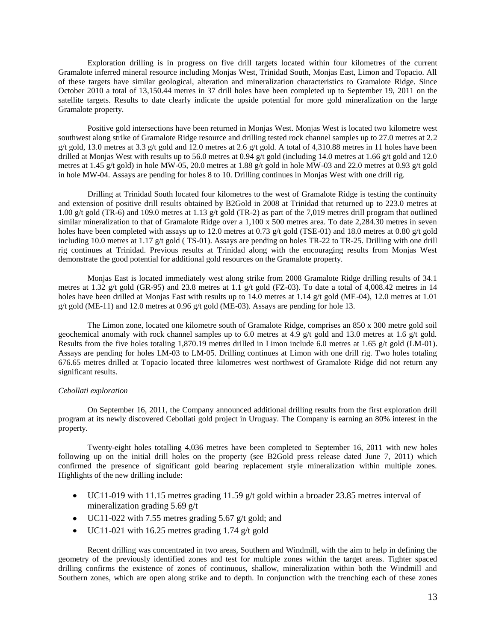Exploration drilling is in progress on five drill targets located within four kilometres of the current Gramalote inferred mineral resource including Monjas West, Trinidad South, Monjas East, Limon and Topacio. All of these targets have similar geological, alteration and mineralization characteristics to Gramalote Ridge. Since October 2010 a total of 13,150.44 metres in 37 drill holes have been completed up to September 19, 2011 on the satellite targets. Results to date clearly indicate the upside potential for more gold mineralization on the large Gramalote property.

Positive gold intersections have been returned in Monjas West. Monjas West is located two kilometre west southwest along strike of Gramalote Ridge resource and drilling tested rock channel samples up to 27.0 metres at 2.2 g/t gold, 13.0 metres at 3.3 g/t gold and 12.0 metres at 2.6 g/t gold. A total of 4,310.88 metres in 11 holes have been drilled at Monjas West with results up to 56.0 metres at 0.94 g/t gold (including 14.0 metres at 1.66 g/t gold and 12.0 metres at 1.45 g/t gold) in hole MW-05, 20.0 metres at 1.88 g/t gold in hole MW-03 and 22.0 metres at 0.93 g/t gold in hole MW-04. Assays are pending for holes 8 to 10. Drilling continues in Monjas West with one drill rig.

Drilling at Trinidad South located four kilometres to the west of Gramalote Ridge is testing the continuity and extension of positive drill results obtained by B2Gold in 2008 at Trinidad that returned up to 223.0 metres at 1.00 g/t gold (TR-6) and 109.0 metres at 1.13 g/t gold (TR-2) as part of the 7,019 metres drill program that outlined similar mineralization to that of Gramalote Ridge over a 1,100 x 500 metres area. To date 2,284.30 metres in seven holes have been completed with assays up to 12.0 metres at 0.73 g/t gold (TSE-01) and 18.0 metres at 0.80 g/t gold including 10.0 metres at 1.17 g/t gold (TS-01). Assays are pending on holes TR-22 to TR-25. Drilling with one drill rig continues at Trinidad. Previous results at Trinidad along with the encouraging results from Monjas West demonstrate the good potential for additional gold resources on the Gramalote property.

Monjas East is located immediately west along strike from 2008 Gramalote Ridge drilling results of 34.1 metres at 1.32 g/t gold (GR-95) and 23.8 metres at 1.1 g/t gold (FZ-03). To date a total of 4,008.42 metres in 14 holes have been drilled at Monjas East with results up to 14.0 metres at 1.14 g/t gold (ME-04), 12.0 metres at 1.01 g/t gold (ME-11) and 12.0 metres at 0.96 g/t gold (ME-03). Assays are pending for hole 13.

The Limon zone, located one kilometre south of Gramalote Ridge, comprises an 850 x 300 metre gold soil geochemical anomaly with rock channel samples up to 6.0 metres at 4.9 g/t gold and 13.0 metres at 1.6 g/t gold. Results from the five holes totaling 1,870.19 metres drilled in Limon include 6.0 metres at 1.65 g/t gold (LM-01). Assays are pending for holes LM-03 to LM-05. Drilling continues at Limon with one drill rig. Two holes totaling 676.65 metres drilled at Topacio located three kilometres west northwest of Gramalote Ridge did not return any significant results.

### *Cebollati exploration*

On September 16, 2011, the Company announced additional drilling results from the first exploration drill program at its newly discovered Cebollati gold project in Uruguay. The Company is earning an 80% interest in the property.

Twenty-eight holes totalling 4,036 metres have been completed to September 16, 2011 with new holes following up on the initial drill holes on the property (see B2Gold press release dated June 7, 2011) which confirmed the presence of significant gold bearing replacement style mineralization within multiple zones. Highlights of the new drilling include:

- $\bullet$  UC11-019 with 11.15 metres grading 11.59 g/t gold within a broader 23.85 metres interval of mineralization grading 5.69 g/t
- $\bullet$  UC11-022 with 7.55 metres grading 5.67 g/t gold; and
- $\bullet$  UC11-021 with 16.25 metres grading 1.74 g/t gold

Recent drilling was concentrated in two areas, Southern and Windmill, with the aim to help in defining the geometry of the previously identified zones and test for multiple zones within the target areas. Tighter spaced drilling confirms the existence of zones of continuous, shallow, mineralization within both the Windmill and Southern zones, which are open along strike and to depth. In conjunction with the trenching each of these zones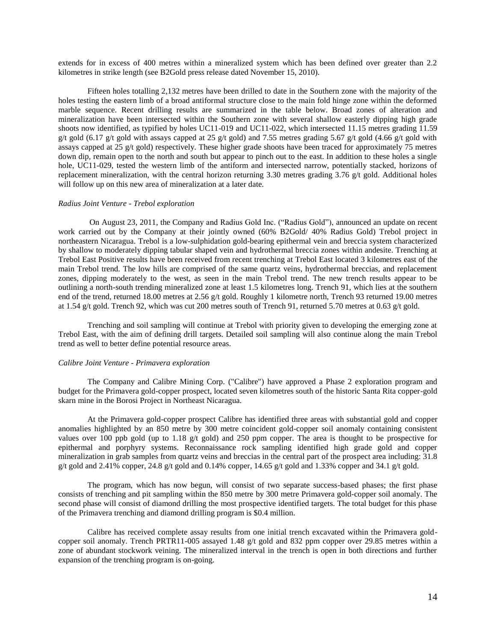extends for in excess of 400 metres within a mineralized system which has been defined over greater than 2.2 kilometres in strike length (see B2Gold press release dated November 15, 2010).

Fifteen holes totalling 2,132 metres have been drilled to date in the Southern zone with the majority of the holes testing the eastern limb of a broad antiformal structure close to the main fold hinge zone within the deformed marble sequence. Recent drilling results are summarized in the table below. Broad zones of alteration and mineralization have been intersected within the Southern zone with several shallow easterly dipping high grade shoots now identified, as typified by holes UC11-019 and UC11-022, which intersected 11.15 metres grading 11.59 g/t gold (6.17 g/t gold with assays capped at 25 g/t gold) and 7.55 metres grading 5.67 g/t gold (4.66 g/t gold with assays capped at 25 g/t gold) respectively. These higher grade shoots have been traced for approximately 75 metres down dip, remain open to the north and south but appear to pinch out to the east. In addition to these holes a single hole, UC11-029, tested the western limb of the antiform and intersected narrow, potentially stacked, horizons of replacement mineralization, with the central horizon returning 3.30 metres grading 3.76 g/t gold. Additional holes will follow up on this new area of mineralization at a later date.

### *Radius Joint Venture - Trebol exploration*

On August 23, 2011, the Company and Radius Gold Inc. ("Radius Gold"), announced an update on recent work carried out by the Company at their jointly owned (60% B2Gold/ 40% Radius Gold) Trebol project in northeastern Nicaragua. Trebol is a low-sulphidation gold-bearing epithermal vein and breccia system characterized by shallow to moderately dipping tabular shaped vein and hydrothermal breccia zones within andesite. Trenching at Trebol East Positive results have been received from recent trenching at Trebol East located 3 kilometres east of the main Trebol trend. The low hills are comprised of the same quartz veins, hydrothermal breccias, and replacement zones, dipping moderately to the west, as seen in the main Trebol trend. The new trench results appear to be outlining a north-south trending mineralized zone at least 1.5 kilometres long. Trench 91, which lies at the southern end of the trend, returned 18.00 metres at 2.56 g/t gold. Roughly 1 kilometre north, Trench 93 returned 19.00 metres at 1.54 g/t gold. Trench 92, which was cut 200 metres south of Trench 91, returned 5.70 metres at 0.63 g/t gold.

Trenching and soil sampling will continue at Trebol with priority given to developing the emerging zone at Trebol East, with the aim of defining drill targets. Detailed soil sampling will also continue along the main Trebol trend as well to better define potential resource areas.

### *Calibre Joint Venture - Primavera exploration*

The Company and Calibre Mining Corp. ("Calibre") have approved a Phase 2 exploration program and budget for the Primavera gold-copper prospect, located seven kilometres south of the historic Santa Rita copper-gold skarn mine in the Borosi Project in Northeast Nicaragua.

At the Primavera gold-copper prospect Calibre has identified three areas with substantial gold and copper anomalies highlighted by an 850 metre by 300 metre coincident gold-copper soil anomaly containing consistent values over 100 ppb gold (up to 1.18  $g/t$  gold) and 250 ppm copper. The area is thought to be prospective for epithermal and porphyry systems. Reconnaissance rock sampling identified high grade gold and copper mineralization in grab samples from quartz veins and breccias in the central part of the prospect area including: 31.8 g/t gold and 2.41% copper, 24.8 g/t gold and 0.14% copper, 14.65 g/t gold and 1.33% copper and 34.1 g/t gold.

The program, which has now begun, will consist of two separate success-based phases; the first phase consists of trenching and pit sampling within the 850 metre by 300 metre Primavera gold-copper soil anomaly. The second phase will consist of diamond drilling the most prospective identified targets. The total budget for this phase of the Primavera trenching and diamond drilling program is \$0.4 million.

Calibre has received complete assay results from one initial trench excavated within the Primavera goldcopper soil anomaly. Trench PRTR11-005 assayed 1.48 g/t gold and 832 ppm copper over 29.85 metres within a zone of abundant stockwork veining. The mineralized interval in the trench is open in both directions and further expansion of the trenching program is on-going.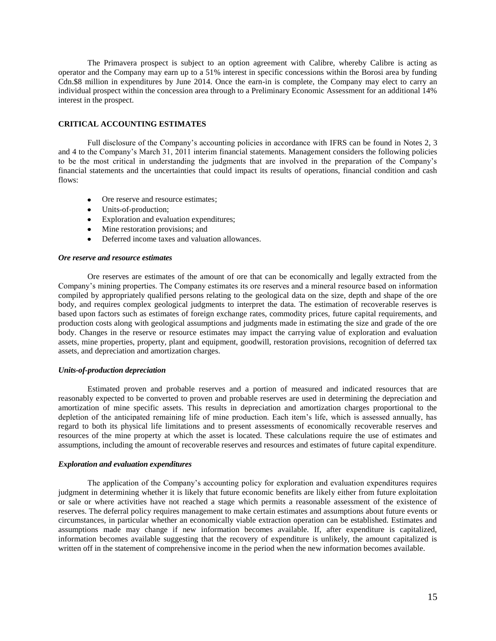The Primavera prospect is subject to an option agreement with Calibre, whereby Calibre is acting as operator and the Company may earn up to a 51% interest in specific concessions within the Borosi area by funding Cdn.\$8 million in expenditures by June 2014. Once the earn-in is complete, the Company may elect to carry an individual prospect within the concession area through to a Preliminary Economic Assessment for an additional 14% interest in the prospect.

## **CRITICAL ACCOUNTING ESTIMATES**

Full disclosure of the Company's accounting policies in accordance with IFRS can be found in Notes 2, 3 and 4 to the Company's March 31, 2011 interim financial statements. Management considers the following policies to be the most critical in understanding the judgments that are involved in the preparation of the Company's financial statements and the uncertainties that could impact its results of operations, financial condition and cash flows:

- Ore reserve and resource estimates;
- Units-of-production;
- Exploration and evaluation expenditures;
- Mine restoration provisions; and
- Deferred income taxes and valuation allowances.

### *Ore reserve and resource estimates*

Ore reserves are estimates of the amount of ore that can be economically and legally extracted from the Company's mining properties. The Company estimates its ore reserves and a mineral resource based on information compiled by appropriately qualified persons relating to the geological data on the size, depth and shape of the ore body, and requires complex geological judgments to interpret the data. The estimation of recoverable reserves is based upon factors such as estimates of foreign exchange rates, commodity prices, future capital requirements, and production costs along with geological assumptions and judgments made in estimating the size and grade of the ore body. Changes in the reserve or resource estimates may impact the carrying value of exploration and evaluation assets, mine properties, property, plant and equipment, goodwill, restoration provisions, recognition of deferred tax assets, and depreciation and amortization charges.

## *Units-of-production depreciation*

Estimated proven and probable reserves and a portion of measured and indicated resources that are reasonably expected to be converted to proven and probable reserves are used in determining the depreciation and amortization of mine specific assets. This results in depreciation and amortization charges proportional to the depletion of the anticipated remaining life of mine production. Each item's life, which is assessed annually, has regard to both its physical life limitations and to present assessments of economically recoverable reserves and resources of the mine property at which the asset is located. These calculations require the use of estimates and assumptions, including the amount of recoverable reserves and resources and estimates of future capital expenditure.

#### *Exploration and evaluation expenditures*

The application of the Company's accounting policy for exploration and evaluation expenditures requires judgment in determining whether it is likely that future economic benefits are likely either from future exploitation or sale or where activities have not reached a stage which permits a reasonable assessment of the existence of reserves. The deferral policy requires management to make certain estimates and assumptions about future events or circumstances, in particular whether an economically viable extraction operation can be established. Estimates and assumptions made may change if new information becomes available. If, after expenditure is capitalized, information becomes available suggesting that the recovery of expenditure is unlikely, the amount capitalized is written off in the statement of comprehensive income in the period when the new information becomes available.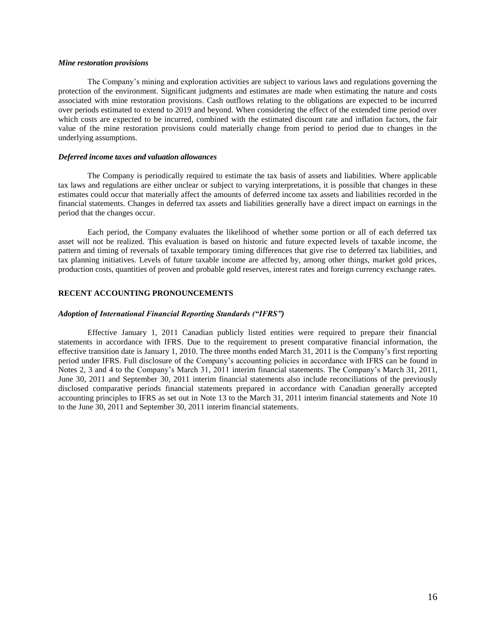### *Mine restoration provisions*

The Company's mining and exploration activities are subject to various laws and regulations governing the protection of the environment. Significant judgments and estimates are made when estimating the nature and costs associated with mine restoration provisions. Cash outflows relating to the obligations are expected to be incurred over periods estimated to extend to 2019 and beyond. When considering the effect of the extended time period over which costs are expected to be incurred, combined with the estimated discount rate and inflation factors, the fair value of the mine restoration provisions could materially change from period to period due to changes in the underlying assumptions.

## *Deferred income taxes and valuation allowances*

The Company is periodically required to estimate the tax basis of assets and liabilities. Where applicable tax laws and regulations are either unclear or subject to varying interpretations, it is possible that changes in these estimates could occur that materially affect the amounts of deferred income tax assets and liabilities recorded in the financial statements. Changes in deferred tax assets and liabilities generally have a direct impact on earnings in the period that the changes occur.

Each period, the Company evaluates the likelihood of whether some portion or all of each deferred tax asset will not be realized. This evaluation is based on historic and future expected levels of taxable income, the pattern and timing of reversals of taxable temporary timing differences that give rise to deferred tax liabilities, and tax planning initiatives. Levels of future taxable income are affected by, among other things, market gold prices, production costs, quantities of proven and probable gold reserves, interest rates and foreign currency exchange rates.

# **RECENT ACCOUNTING PRONOUNCEMENTS**

#### *Adoption of International Financial Reporting Standards ("IFRS")*

Effective January 1, 2011 Canadian publicly listed entities were required to prepare their financial statements in accordance with IFRS. Due to the requirement to present comparative financial information, the effective transition date is January 1, 2010. The three months ended March 31, 2011 is the Company's first reporting period under IFRS. Full disclosure of the Company's accounting policies in accordance with IFRS can be found in Notes 2, 3 and 4 to the Company's March 31, 2011 interim financial statements. The Company's March 31, 2011, June 30, 2011 and September 30, 2011 interim financial statements also include reconciliations of the previously disclosed comparative periods financial statements prepared in accordance with Canadian generally accepted accounting principles to IFRS as set out in Note 13 to the March 31, 2011 interim financial statements and Note 10 to the June 30, 2011 and September 30, 2011 interim financial statements.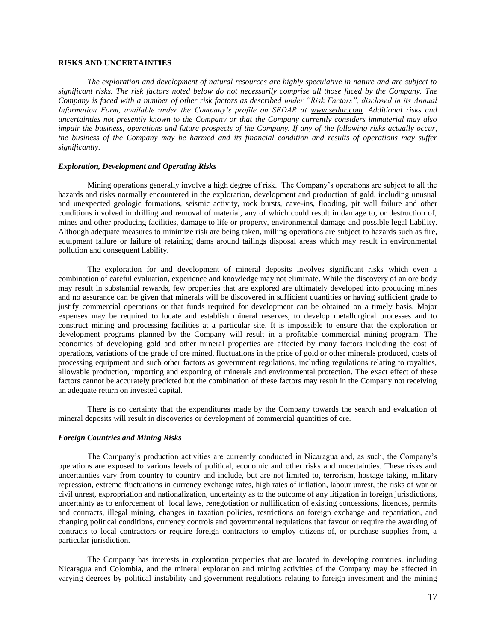## **RISKS AND UNCERTAINTIES**

*The exploration and development of natural resources are highly speculative in nature and are subject to significant risks. The risk factors noted below do not necessarily comprise all those faced by the Company. The Company is faced with a number of other risk factors as described under "Risk Factors", disclosed in its Annual Information Form, available under the Company's profile on SEDAR at www.sedar.com. Additional risks and uncertainties not presently known to the Company or that the Company currently considers immaterial may also impair the business, operations and future prospects of the Company. If any of the following risks actually occur, the business of the Company may be harmed and its financial condition and results of operations may suffer significantly.* 

## *Exploration, Development and Operating Risks*

Mining operations generally involve a high degree of risk. The Company's operations are subject to all the hazards and risks normally encountered in the exploration, development and production of gold, including unusual and unexpected geologic formations, seismic activity, rock bursts, cave-ins, flooding, pit wall failure and other conditions involved in drilling and removal of material, any of which could result in damage to, or destruction of, mines and other producing facilities, damage to life or property, environmental damage and possible legal liability. Although adequate measures to minimize risk are being taken, milling operations are subject to hazards such as fire, equipment failure or failure of retaining dams around tailings disposal areas which may result in environmental pollution and consequent liability.

The exploration for and development of mineral deposits involves significant risks which even a combination of careful evaluation, experience and knowledge may not eliminate. While the discovery of an ore body may result in substantial rewards, few properties that are explored are ultimately developed into producing mines and no assurance can be given that minerals will be discovered in sufficient quantities or having sufficient grade to justify commercial operations or that funds required for development can be obtained on a timely basis. Major expenses may be required to locate and establish mineral reserves, to develop metallurgical processes and to construct mining and processing facilities at a particular site. It is impossible to ensure that the exploration or development programs planned by the Company will result in a profitable commercial mining program. The economics of developing gold and other mineral properties are affected by many factors including the cost of operations, variations of the grade of ore mined, fluctuations in the price of gold or other minerals produced, costs of processing equipment and such other factors as government regulations, including regulations relating to royalties, allowable production, importing and exporting of minerals and environmental protection. The exact effect of these factors cannot be accurately predicted but the combination of these factors may result in the Company not receiving an adequate return on invested capital.

There is no certainty that the expenditures made by the Company towards the search and evaluation of mineral deposits will result in discoveries or development of commercial quantities of ore.

#### *Foreign Countries and Mining Risks*

The Company's production activities are currently conducted in Nicaragua and, as such, the Company's operations are exposed to various levels of political, economic and other risks and uncertainties. These risks and uncertainties vary from country to country and include, but are not limited to, terrorism, hostage taking, military repression, extreme fluctuations in currency exchange rates, high rates of inflation, labour unrest, the risks of war or civil unrest, expropriation and nationalization, uncertainty as to the outcome of any litigation in foreign jurisdictions, uncertainty as to enforcement of local laws, renegotiation or nullification of existing concessions, licences, permits and contracts, illegal mining, changes in taxation policies, restrictions on foreign exchange and repatriation, and changing political conditions, currency controls and governmental regulations that favour or require the awarding of contracts to local contractors or require foreign contractors to employ citizens of, or purchase supplies from, a particular jurisdiction.

The Company has interests in exploration properties that are located in developing countries, including Nicaragua and Colombia, and the mineral exploration and mining activities of the Company may be affected in varying degrees by political instability and government regulations relating to foreign investment and the mining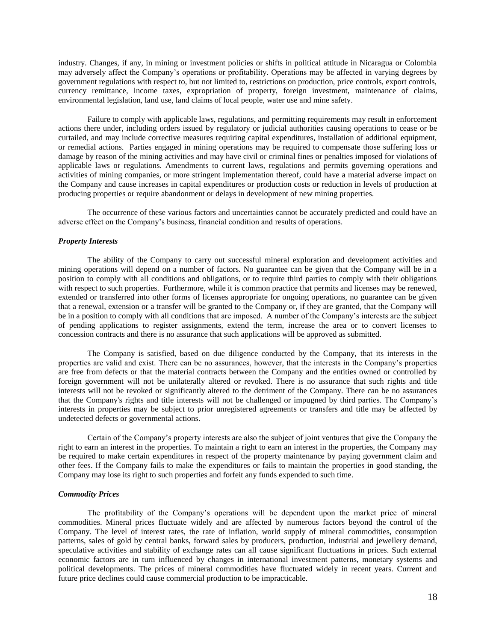industry. Changes, if any, in mining or investment policies or shifts in political attitude in Nicaragua or Colombia may adversely affect the Company's operations or profitability. Operations may be affected in varying degrees by government regulations with respect to, but not limited to, restrictions on production, price controls, export controls, currency remittance, income taxes, expropriation of property, foreign investment, maintenance of claims, environmental legislation, land use, land claims of local people, water use and mine safety.

Failure to comply with applicable laws, regulations, and permitting requirements may result in enforcement actions there under, including orders issued by regulatory or judicial authorities causing operations to cease or be curtailed, and may include corrective measures requiring capital expenditures, installation of additional equipment, or remedial actions. Parties engaged in mining operations may be required to compensate those suffering loss or damage by reason of the mining activities and may have civil or criminal fines or penalties imposed for violations of applicable laws or regulations. Amendments to current laws, regulations and permits governing operations and activities of mining companies, or more stringent implementation thereof, could have a material adverse impact on the Company and cause increases in capital expenditures or production costs or reduction in levels of production at producing properties or require abandonment or delays in development of new mining properties.

The occurrence of these various factors and uncertainties cannot be accurately predicted and could have an adverse effect on the Company's business, financial condition and results of operations.

### *Property Interests*

The ability of the Company to carry out successful mineral exploration and development activities and mining operations will depend on a number of factors. No guarantee can be given that the Company will be in a position to comply with all conditions and obligations, or to require third parties to comply with their obligations with respect to such properties. Furthermore, while it is common practice that permits and licenses may be renewed, extended or transferred into other forms of licenses appropriate for ongoing operations, no guarantee can be given that a renewal, extension or a transfer will be granted to the Company or, if they are granted, that the Company will be in a position to comply with all conditions that are imposed. A number of the Company's interests are the subject of pending applications to register assignments, extend the term, increase the area or to convert licenses to concession contracts and there is no assurance that such applications will be approved as submitted.

The Company is satisfied, based on due diligence conducted by the Company, that its interests in the properties are valid and exist. There can be no assurances, however, that the interests in the Company's properties are free from defects or that the material contracts between the Company and the entities owned or controlled by foreign government will not be unilaterally altered or revoked. There is no assurance that such rights and title interests will not be revoked or significantly altered to the detriment of the Company. There can be no assurances that the Company's rights and title interests will not be challenged or impugned by third parties. The Company's interests in properties may be subject to prior unregistered agreements or transfers and title may be affected by undetected defects or governmental actions.

Certain of the Company's property interests are also the subject of joint ventures that give the Company the right to earn an interest in the properties. To maintain a right to earn an interest in the properties, the Company may be required to make certain expenditures in respect of the property maintenance by paying government claim and other fees. If the Company fails to make the expenditures or fails to maintain the properties in good standing, the Company may lose its right to such properties and forfeit any funds expended to such time.

## *Commodity Prices*

The profitability of the Company's operations will be dependent upon the market price of mineral commodities. Mineral prices fluctuate widely and are affected by numerous factors beyond the control of the Company. The level of interest rates, the rate of inflation, world supply of mineral commodities, consumption patterns, sales of gold by central banks, forward sales by producers, production, industrial and jewellery demand, speculative activities and stability of exchange rates can all cause significant fluctuations in prices. Such external economic factors are in turn influenced by changes in international investment patterns, monetary systems and political developments. The prices of mineral commodities have fluctuated widely in recent years. Current and future price declines could cause commercial production to be impracticable.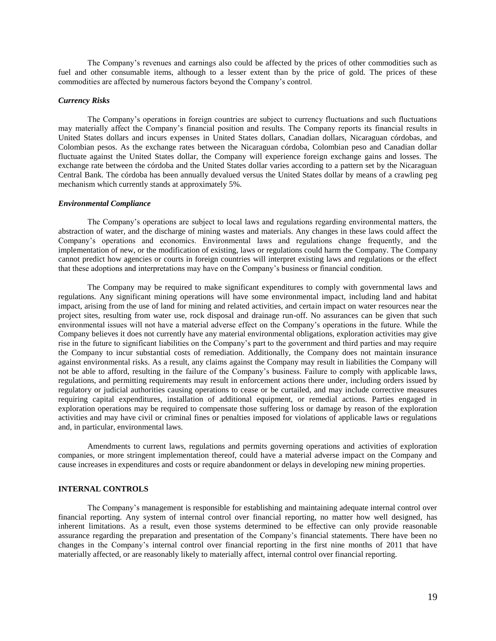The Company's revenues and earnings also could be affected by the prices of other commodities such as fuel and other consumable items, although to a lesser extent than by the price of gold. The prices of these commodities are affected by numerous factors beyond the Company's control.

### *Currency Risks*

The Company's operations in foreign countries are subject to currency fluctuations and such fluctuations may materially affect the Company's financial position and results. The Company reports its financial results in United States dollars and incurs expenses in United States dollars, Canadian dollars, Nicaraguan córdobas, and Colombian pesos. As the exchange rates between the Nicaraguan córdoba, Colombian peso and Canadian dollar fluctuate against the United States dollar, the Company will experience foreign exchange gains and losses. The exchange rate between the córdoba and the United States dollar varies according to a pattern set by the Nicaraguan Central Bank. The córdoba has been annually devalued versus the United States dollar by means of a crawling peg mechanism which currently stands at approximately 5%.

#### *Environmental Compliance*

The Company's operations are subject to local laws and regulations regarding environmental matters, the abstraction of water, and the discharge of mining wastes and materials. Any changes in these laws could affect the Company's operations and economics. Environmental laws and regulations change frequently, and the implementation of new, or the modification of existing, laws or regulations could harm the Company. The Company cannot predict how agencies or courts in foreign countries will interpret existing laws and regulations or the effect that these adoptions and interpretations may have on the Company's business or financial condition.

The Company may be required to make significant expenditures to comply with governmental laws and regulations. Any significant mining operations will have some environmental impact, including land and habitat impact, arising from the use of land for mining and related activities, and certain impact on water resources near the project sites, resulting from water use, rock disposal and drainage run-off. No assurances can be given that such environmental issues will not have a material adverse effect on the Company's operations in the future. While the Company believes it does not currently have any material environmental obligations, exploration activities may give rise in the future to significant liabilities on the Company's part to the government and third parties and may require the Company to incur substantial costs of remediation. Additionally, the Company does not maintain insurance against environmental risks. As a result, any claims against the Company may result in liabilities the Company will not be able to afford, resulting in the failure of the Company's business. Failure to comply with applicable laws, regulations, and permitting requirements may result in enforcement actions there under, including orders issued by regulatory or judicial authorities causing operations to cease or be curtailed, and may include corrective measures requiring capital expenditures, installation of additional equipment, or remedial actions. Parties engaged in exploration operations may be required to compensate those suffering loss or damage by reason of the exploration activities and may have civil or criminal fines or penalties imposed for violations of applicable laws or regulations and, in particular, environmental laws.

Amendments to current laws, regulations and permits governing operations and activities of exploration companies, or more stringent implementation thereof, could have a material adverse impact on the Company and cause increases in expenditures and costs or require abandonment or delays in developing new mining properties.

### **INTERNAL CONTROLS**

The Company's management is responsible for establishing and maintaining adequate internal control over financial reporting. Any system of internal control over financial reporting, no matter how well designed, has inherent limitations. As a result, even those systems determined to be effective can only provide reasonable assurance regarding the preparation and presentation of the Company's financial statements. There have been no changes in the Company's internal control over financial reporting in the first nine months of 2011 that have materially affected, or are reasonably likely to materially affect, internal control over financial reporting.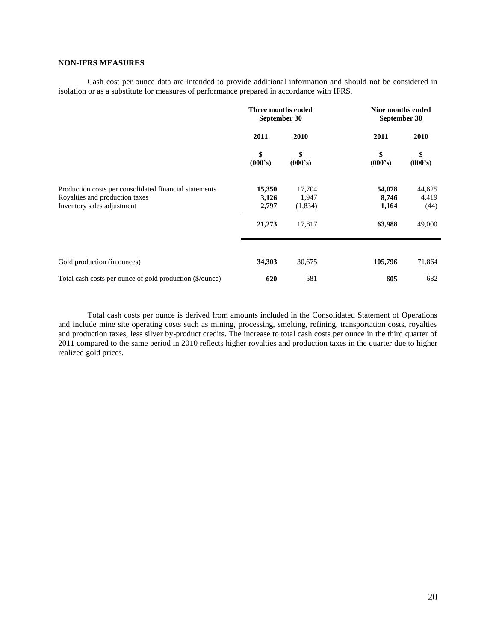# **NON-IFRS MEASURES**

Cash cost per ounce data are intended to provide additional information and should not be considered in isolation or as a substitute for measures of performance prepared in accordance with IFRS.

|                                                                                                                        | Three months ended<br>September 30 |                            | Nine months ended<br>September 30 |                         |  |
|------------------------------------------------------------------------------------------------------------------------|------------------------------------|----------------------------|-----------------------------------|-------------------------|--|
|                                                                                                                        | 2011                               | 2010                       | <b>2011</b>                       | 2010                    |  |
|                                                                                                                        | \$<br>(000's)                      | \$<br>(000's)              | \$<br>(000's)                     | \$<br>(000's)           |  |
| Production costs per consolidated financial statements<br>Royalties and production taxes<br>Inventory sales adjustment | 15,350<br>3,126<br>2,797           | 17,704<br>1,947<br>(1,834) | 54,078<br>8,746<br>1,164          | 44,625<br>4,419<br>(44) |  |
|                                                                                                                        | 21,273                             | 17,817                     | 63,988                            | 49,000                  |  |
| Gold production (in ounces)                                                                                            | 34,303                             | 30,675                     | 105,796                           | 71,864                  |  |
| Total cash costs per ounce of gold production (\$/ounce)                                                               | 620                                | 581                        | 605                               | 682                     |  |

Total cash costs per ounce is derived from amounts included in the Consolidated Statement of Operations and include mine site operating costs such as mining, processing, smelting, refining, transportation costs, royalties and production taxes, less silver by-product credits. The increase to total cash costs per ounce in the third quarter of 2011 compared to the same period in 2010 reflects higher royalties and production taxes in the quarter due to higher realized gold prices.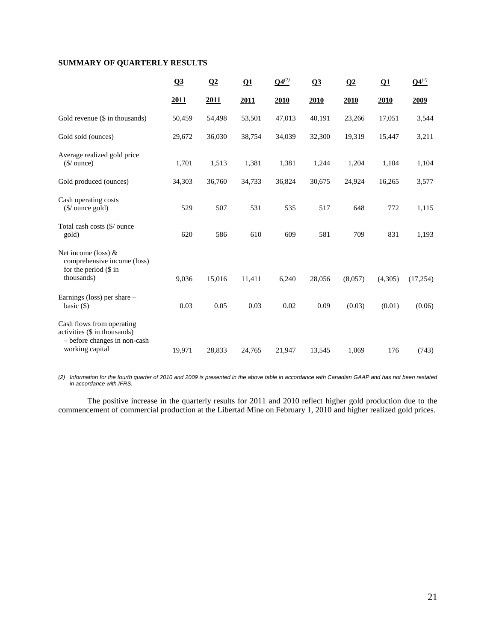# **SUMMARY OF QUARTERLY RESULTS**

|                                                                                                              | Q3     | $\Omega$    | $\Omega$ | $Q4^{(2)}$ | Q3     | Q2      | Q1          | $Q4^{(2)}$ |
|--------------------------------------------------------------------------------------------------------------|--------|-------------|----------|------------|--------|---------|-------------|------------|
|                                                                                                              | 2011   | <u>2011</u> | 2011     | 2010       | 2010   | 2010    | <u>2010</u> | 2009       |
| Gold revenue (\$ in thousands)                                                                               | 50,459 | 54,498      | 53,501   | 47,013     | 40,191 | 23,266  | 17,051      | 3,544      |
| Gold sold (ounces)                                                                                           | 29,672 | 36,030      | 38,754   | 34,039     | 32,300 | 19,319  | 15,447      | 3,211      |
| Average realized gold price<br>$(\$/$ ounce)                                                                 | 1,701  | 1,513       | 1,381    | 1,381      | 1,244  | 1,204   | 1,104       | 1,104      |
| Gold produced (ounces)                                                                                       | 34,303 | 36,760      | 34,733   | 36,824     | 30,675 | 24,924  | 16,265      | 3,577      |
| Cash operating costs<br>$(\frac{\sqrt{2}}{2})$ ounce gold)                                                   | 529    | 507         | 531      | 535        | 517    | 648     | 772         | 1,115      |
| Total cash costs (\$/ ounce<br>gold)                                                                         | 620    | 586         | 610      | 609        | 581    | 709     | 831         | 1,193      |
| Net income (loss) $&$<br>comprehensive income (loss)<br>for the period (\$ in<br>thousands)                  | 9,036  | 15,016      | 11,411   | 6,240      | 28,056 | (8,057) | (4,305)     | (17,254)   |
| Earnings (loss) per share $-$<br>basic $(\$)$                                                                | 0.03   | 0.05        | 0.03     | 0.02       | 0.09   | (0.03)  | (0.01)      | (0.06)     |
| Cash flows from operating<br>activities (\$ in thousands)<br>- before changes in non-cash<br>working capital | 19,971 | 28,833      | 24,765   | 21,947     | 13,545 | 1,069   | 176         | (743)      |

*(2) Information for the fourth quarter of 2010 and 2009 is presented in the above table in accordance with Canadian GAAP and has not been restated in accordance with IFRS.* 

The positive increase in the quarterly results for 2011 and 2010 reflect higher gold production due to the commencement of commercial production at the Libertad Mine on February 1, 2010 and higher realized gold prices.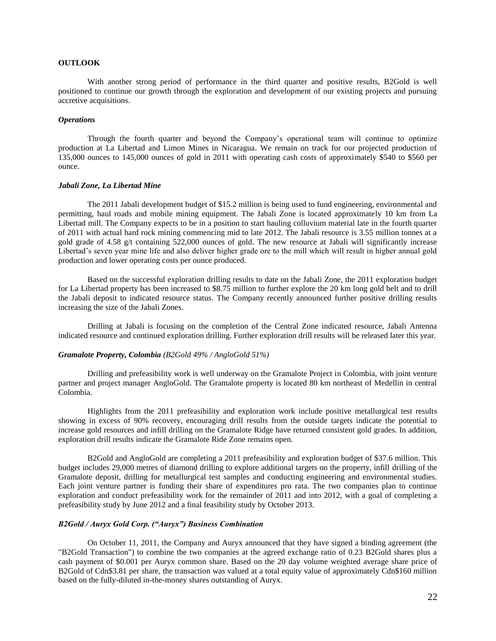## **OUTLOOK**

With another strong period of performance in the third quarter and positive results, B2Gold is well positioned to continue our growth through the exploration and development of our existing projects and pursuing accretive acquisitions.

## *Operations*

Through the fourth quarter and beyond the Company's operational team will continue to optimize production at La Libertad and Limon Mines in Nicaragua. We remain on track for our projected production of 135,000 ounces to 145,000 ounces of gold in 2011 with operating cash costs of approximately \$540 to \$560 per ounce.

### *Jabali Zone, La Libertad Mine*

The 2011 Jabali development budget of \$15.2 million is being used to fund engineering, environmental and permitting, haul roads and mobile mining equipment. The Jabali Zone is located approximately 10 km from La Libertad mill. The Company expects to be in a position to start hauling colluvium material late in the fourth quarter of 2011 with actual hard rock mining commencing mid to late 2012. The Jabali resource is 3.55 million tonnes at a gold grade of 4.58 g/t containing 522,000 ounces of gold. The new resource at Jabali will significantly increase Libertad's seven year mine life and also deliver higher grade ore to the mill which will result in higher annual gold production and lower operating costs per ounce produced.

Based on the successful exploration drilling results to date on the Jabali Zone, the 2011 exploration budget for La Libertad property has been increased to \$8.75 million to further explore the 20 km long gold belt and to drill the Jabali deposit to indicated resource status. The Company recently announced further positive drilling results increasing the size of the Jabali Zones.

Drilling at Jabali is focusing on the completion of the Central Zone indicated resource, Jabali Antenna indicated resource and continued exploration drilling. Further exploration drill results will be released later this year.

### *Gramalote Property, Colombia (B2Gold 49% / AngloGold 51%)*

Drilling and prefeasibility work is well underway on the Gramalote Project in Colombia, with joint venture partner and project manager AngloGold. The Gramalote property is located 80 km northeast of Medellin in central Colombia.

Highlights from the 2011 prefeasibility and exploration work include positive metallurgical test results showing in excess of 90% recovery, encouraging drill results from the outside targets indicate the potential to increase gold resources and infill drilling on the Gramalote Ridge have returned consistent gold grades. In addition, exploration drill results indicate the Gramalote Ride Zone remains open.

B2Gold and AngloGold are completing a 2011 prefeasibility and exploration budget of \$37.6 million. This budget includes 29,000 metres of diamond drilling to explore additional targets on the property, infill drilling of the Gramalote deposit, drilling for metallurgical test samples and conducting engineering and environmental studies. Each joint venture partner is funding their share of expenditures pro rata. The two companies plan to continue exploration and conduct prefeasibility work for the remainder of 2011 and into 2012, with a goal of completing a prefeasibility study by June 2012 and a final feasibility study by October 2013.

### *B2Gold / Auryx Gold Corp. ("Auryx") Business Combination*

On October 11, 2011, the Company and Auryx announced that they have signed a binding agreement (the "B2Gold Transaction") to combine the two companies at the agreed exchange ratio of 0.23 B2Gold shares plus a cash payment of \$0.001 per Auryx common share. Based on the 20 day volume weighted average share price of B2Gold of Cdn\$3.81 per share, the transaction was valued at a total equity value of approximately Cdn\$160 million based on the fully-diluted in-the-money shares outstanding of Auryx.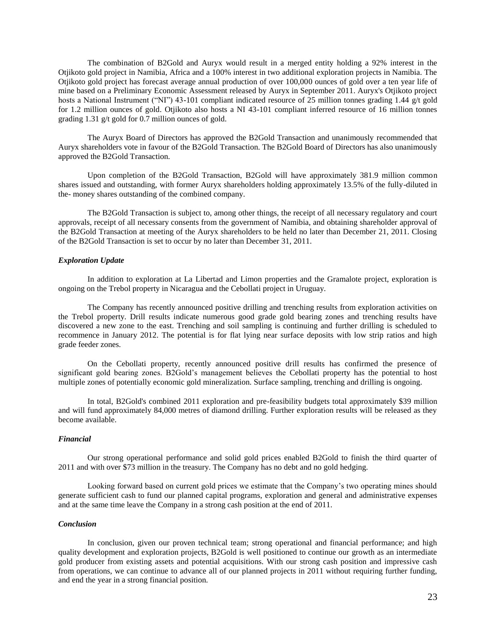The combination of B2Gold and Auryx would result in a merged entity holding a 92% interest in the Otjikoto gold project in Namibia, Africa and a 100% interest in two additional exploration projects in Namibia. The Otjikoto gold project has forecast average annual production of over 100,000 ounces of gold over a ten year life of mine based on a Preliminary Economic Assessment released by Auryx in September 2011. Auryx's Otjikoto project hosts a National Instrument ("NI") 43-101 compliant indicated resource of 25 million tonnes grading 1.44 g/t gold for 1.2 million ounces of gold. Otjikoto also hosts a NI 43-101 compliant inferred resource of 16 million tonnes grading 1.31 g/t gold for 0.7 million ounces of gold.

The Auryx Board of Directors has approved the B2Gold Transaction and unanimously recommended that Auryx shareholders vote in favour of the B2Gold Transaction. The B2Gold Board of Directors has also unanimously approved the B2Gold Transaction.

Upon completion of the B2Gold Transaction, B2Gold will have approximately 381.9 million common shares issued and outstanding, with former Auryx shareholders holding approximately 13.5% of the fully-diluted in the- money shares outstanding of the combined company.

The B2Gold Transaction is subject to, among other things, the receipt of all necessary regulatory and court approvals, receipt of all necessary consents from the government of Namibia, and obtaining shareholder approval of the B2Gold Transaction at meeting of the Auryx shareholders to be held no later than December 21, 2011. Closing of the B2Gold Transaction is set to occur by no later than December 31, 2011.

### *Exploration Update*

In addition to exploration at La Libertad and Limon properties and the Gramalote project, exploration is ongoing on the Trebol property in Nicaragua and the Cebollati project in Uruguay.

The Company has recently announced positive drilling and trenching results from exploration activities on the Trebol property. Drill results indicate numerous good grade gold bearing zones and trenching results have discovered a new zone to the east. Trenching and soil sampling is continuing and further drilling is scheduled to recommence in January 2012. The potential is for flat lying near surface deposits with low strip ratios and high grade feeder zones.

On the Cebollati property, recently announced positive drill results has confirmed the presence of significant gold bearing zones. B2Gold's management believes the Cebollati property has the potential to host multiple zones of potentially economic gold mineralization. Surface sampling, trenching and drilling is ongoing.

In total, B2Gold's combined 2011 exploration and pre-feasibility budgets total approximately \$39 million and will fund approximately 84,000 metres of diamond drilling. Further exploration results will be released as they become available.

### *Financial*

Our strong operational performance and solid gold prices enabled B2Gold to finish the third quarter of 2011 and with over \$73 million in the treasury. The Company has no debt and no gold hedging.

Looking forward based on current gold prices we estimate that the Company's two operating mines should generate sufficient cash to fund our planned capital programs, exploration and general and administrative expenses and at the same time leave the Company in a strong cash position at the end of 2011.

### *Conclusion*

In conclusion, given our proven technical team; strong operational and financial performance; and high quality development and exploration projects, B2Gold is well positioned to continue our growth as an intermediate gold producer from existing assets and potential acquisitions. With our strong cash position and impressive cash from operations, we can continue to advance all of our planned projects in 2011 without requiring further funding, and end the year in a strong financial position.